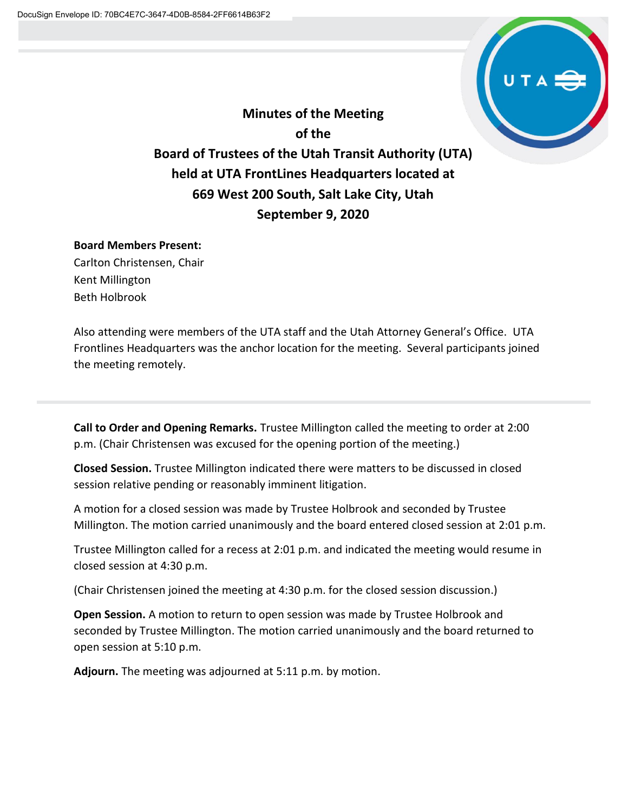

**Minutes of the Meeting of the Board of Trustees of the Utah Transit Authority (UTA) held at UTA FrontLines Headquarters located at 669 West 200 South, Salt Lake City, Utah September 9, 2020**

## **Board Members Present:**

Carlton Christensen, Chair Kent Millington Beth Holbrook

Also attending were members of the UTA staff and the Utah Attorney General's Office. UTA Frontlines Headquarters was the anchor location for the meeting. Several participants joined the meeting remotely.

**Call to Order and Opening Remarks.** Trustee Millington called the meeting to order at 2:00 p.m. (Chair Christensen was excused for the opening portion of the meeting.)

**Closed Session.** Trustee Millington indicated there were matters to be discussed in closed session relative pending or reasonably imminent litigation.

A motion for a closed session was made by Trustee Holbrook and seconded by Trustee Millington. The motion carried unanimously and the board entered closed session at 2:01 p.m.

Trustee Millington called for a recess at 2:01 p.m. and indicated the meeting would resume in closed session at 4:30 p.m.

(Chair Christensen joined the meeting at 4:30 p.m. for the closed session discussion.)

**Open Session.** A motion to return to open session was made by Trustee Holbrook and seconded by Trustee Millington. The motion carried unanimously and the board returned to open session at 5:10 p.m.

**Adjourn.** The meeting was adjourned at 5:11 p.m. by motion.